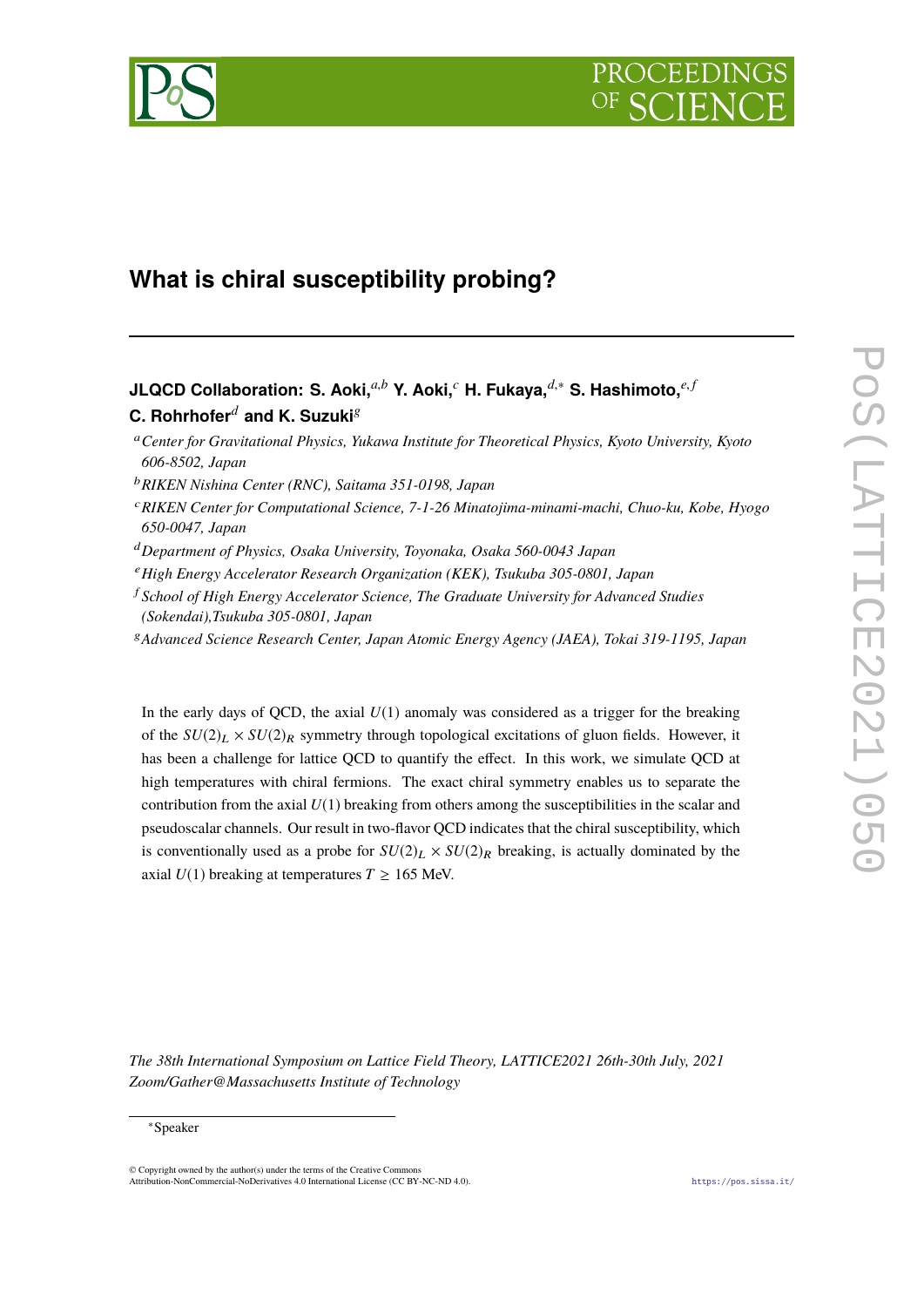

# **What is chiral susceptibility probing?**

## **JLQCD Collaboration: S. Aoki,***a*,*<sup>b</sup>* **Y. Aoki,***<sup>c</sup>* **H. Fukaya,***d*,<sup>∗</sup> **S. Hashimoto,***e*, *<sup>f</sup>* **C.** Rohrhofer<sup> $d$ </sup> and K. Suzuki<sup>g</sup>

- <sup>a</sup>*Center for Gravitational Physics, Yukawa Institute for Theoretical Physics, Kyoto University, Kyoto 606-8502, Japan*
- <sup>b</sup>*RIKEN Nishina Center (RNC), Saitama 351-0198, Japan*
- <sup>c</sup>*RIKEN Center for Computational Science, 7-1-26 Minatojima-minami-machi, Chuo-ku, Kobe, Hyogo 650-0047, Japan*
- <sup>d</sup>*Department of Physics, Osaka University, Toyonaka, Osaka 560-0043 Japan*
- <sup>e</sup>*High Energy Accelerator Research Organization (KEK), Tsukuba 305-0801, Japan*
- <sup>f</sup> *School of High Energy Accelerator Science, The Graduate University for Advanced Studies (Sokendai),Tsukuba 305-0801, Japan*
- <sup>g</sup>*Advanced Science Research Center, Japan Atomic Energy Agency (JAEA), Tokai 319-1195, Japan*

In the early days of QCD, the axial  $U(1)$  anomaly was considered as a trigger for the breaking of the  $SU(2)_L \times SU(2)_R$  symmetry through topological excitations of gluon fields. However, it has been a challenge for lattice QCD to quantify the effect. In this work, we simulate QCD at high temperatures with chiral fermions. The exact chiral symmetry enables us to separate the contribution from the axial  $U(1)$  breaking from others among the susceptibilities in the scalar and pseudoscalar channels. Our result in two-flavor QCD indicates that the chiral susceptibility, which is conventionally used as a probe for  $SU(2)_L \times SU(2)_R$  breaking, is actually dominated by the axial  $U(1)$  breaking at temperatures  $T \ge 165$  MeV.

*The 38th International Symposium on Lattice Field Theory, LATTICE2021 26th-30th July, 2021 Zoom/Gather@Massachusetts Institute of Technology*

<sup>∗</sup>Speaker

<sup>©</sup> Copyright owned by the author(s) under the terms of the Creative Commons Attribution-NonCommercial-NoDerivatives 4.0 International License (CC BY-NC-ND 4.0). <https://pos.sissa.it/>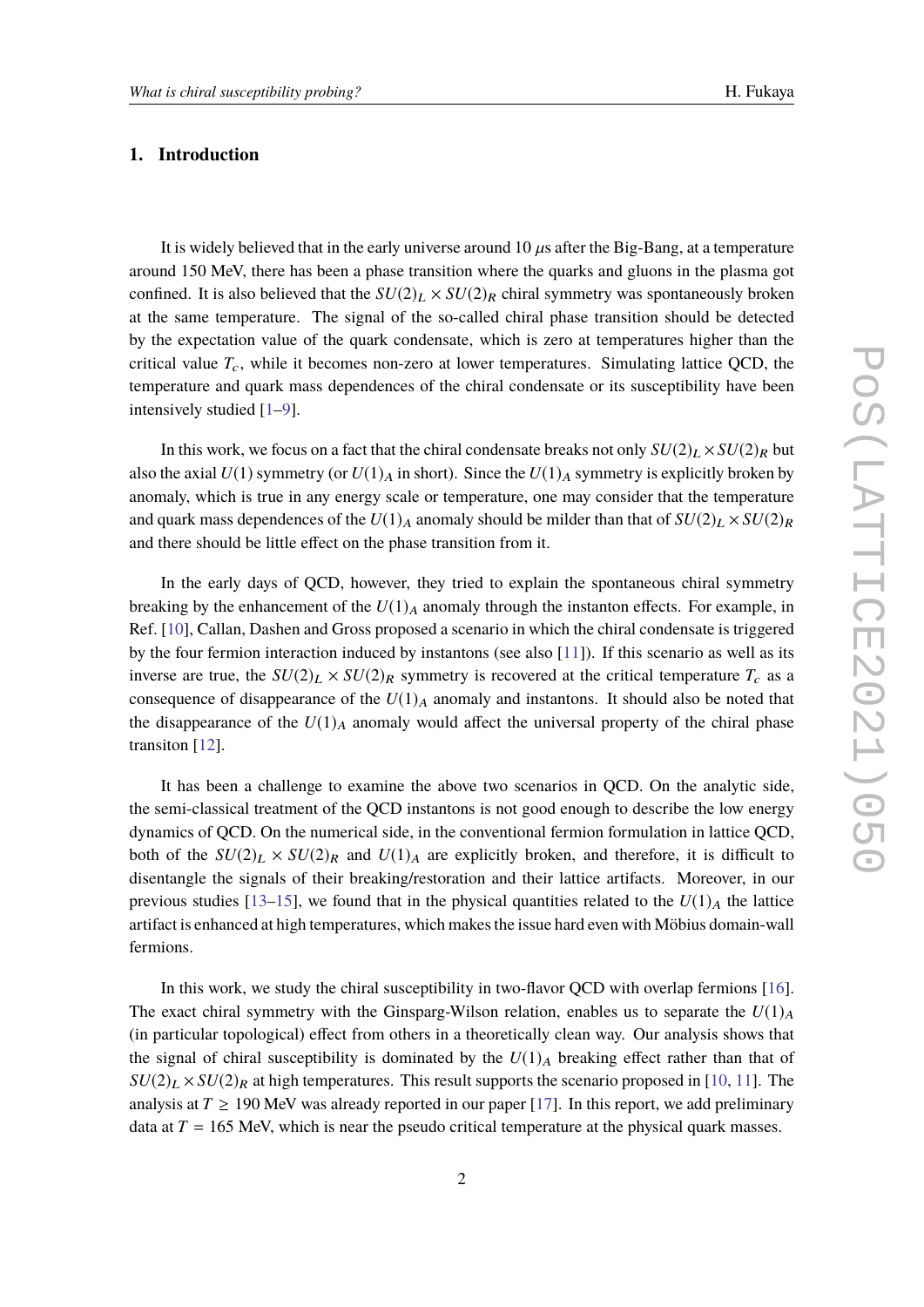#### **1. Introduction**

It is widely believed that in the early universe around  $10 \mu s$  after the Big-Bang, at a temperature around 150 MeV, there has been a phase transition where the quarks and gluons in the plasma got confined. It is also believed that the  $SU(2)_L \times SU(2)_R$  chiral symmetry was spontaneously broken at the same temperature. The signal of the so-called chiral phase transition should be detected by the expectation value of the quark condensate, which is zero at temperatures higher than the critical value  $T_c$ , while it becomes non-zero at lower temperatures. Simulating lattice QCD, the temperature and quark mass dependences of the chiral condensate or its susceptibility have been intensively studied [\[1](#page-6-0)[–9\]](#page-7-0).

In this work, we focus on a fact that the chiral condensate breaks not only  $SU(2)_L \times SU(2)_R$  but also the axial  $U(1)$  symmetry (or  $U(1)_A$  in short). Since the  $U(1)_A$  symmetry is explicitly broken by anomaly, which is true in any energy scale or temperature, one may consider that the temperature and quark mass dependences of the  $U(1)_A$  anomaly should be milder than that of  $SU(2)_L \times SU(2)_R$ and there should be little effect on the phase transition from it.

In the early days of QCD, however, they tried to explain the spontaneous chiral symmetry breaking by the enhancement of the  $U(1)_A$  anomaly through the instanton effects. For example, in Ref. [\[10\]](#page-7-1), Callan, Dashen and Gross proposed a scenario in which the chiral condensate is triggered by the four fermion interaction induced by instantons (see also [\[11\]](#page-7-2)). If this scenario as well as its inverse are true, the  $SU(2)_L \times SU(2)_R$  symmetry is recovered at the critical temperature  $T_c$  as a consequence of disappearance of the  $U(1)_A$  anomaly and instantons. It should also be noted that the disappearance of the  $U(1)_A$  anomaly would affect the universal property of the chiral phase transiton [\[12\]](#page-7-3).

It has been a challenge to examine the above two scenarios in QCD. On the analytic side, the semi-classical treatment of the QCD instantons is not good enough to describe the low energy dynamics of QCD. On the numerical side, in the conventional fermion formulation in lattice QCD, both of the  $SU(2)_L \times SU(2)_R$  and  $U(1)_A$  are explicitly broken, and therefore, it is difficult to disentangle the signals of their breaking/restoration and their lattice artifacts. Moreover, in our previous studies [\[13–](#page-7-4)[15\]](#page-7-5), we found that in the physical quantities related to the  $U(1)_A$  the lattice artifact is enhanced at high temperatures, which makes the issue hard even with Möbius domain-wall fermions.

In this work, we study the chiral susceptibility in two-flavor QCD with overlap fermions [\[16\]](#page-7-6). The exact chiral symmetry with the Ginsparg-Wilson relation, enables us to separate the  $U(1)_A$ (in particular topological) effect from others in a theoretically clean way. Our analysis shows that the signal of chiral susceptibility is dominated by the  $U(1)_A$  breaking effect rather than that of  $SU(2)_L \times SU(2)_R$  at high temperatures. This result supports the scenario proposed in [\[10,](#page-7-1) [11\]](#page-7-2). The analysis at  $T \geq 190$  MeV was already reported in our paper [\[17\]](#page-7-7). In this report, we add preliminary data at  $T = 165$  MeV, which is near the pseudo critical temperature at the physical quark masses.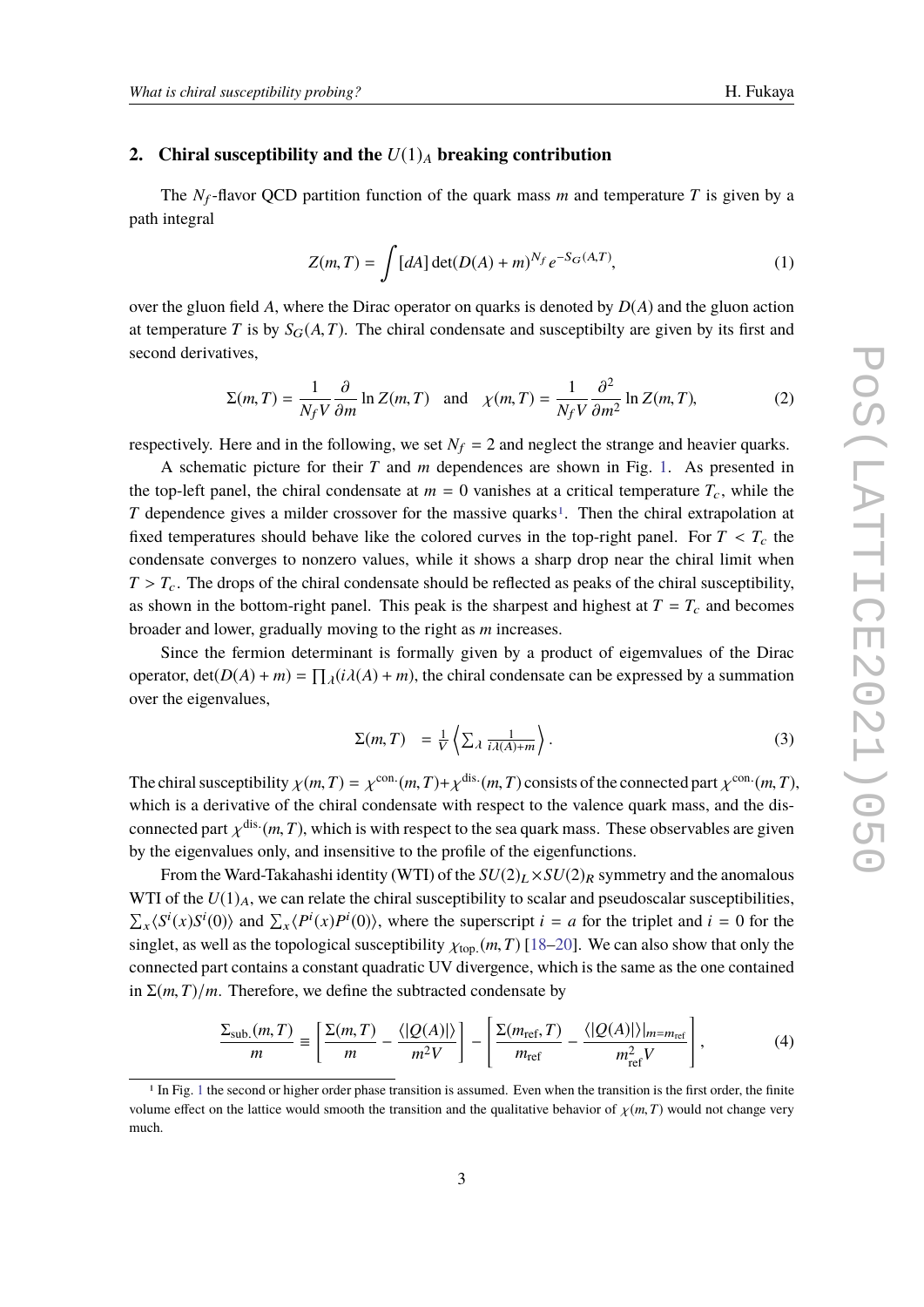#### **2.** Chiral susceptibility and the  $U(1)<sub>A</sub>$  breaking contribution

The  $N_f$ -flavor QCD partition function of the quark mass *m* and temperature *T* is given by a path integral

$$
Z(m,T) = \int [dA] \det(D(A) + m)^{N_f} e^{-S_G(A,T)},
$$
\n(1)

over the gluon field *A*, where the Dirac operator on quarks is denoted by *D*(*A*) and the gluon action at temperature *T* is by  $S_G(A, T)$ . The chiral condensate and susceptibilty are given by its first and second derivatives,

$$
\Sigma(m,T) = \frac{1}{N_f V} \frac{\partial}{\partial m} \ln Z(m,T) \quad \text{and} \quad \chi(m,T) = \frac{1}{N_f V} \frac{\partial^2}{\partial m^2} \ln Z(m,T), \tag{2}
$$

respectively. Here and in the following, we set  $N_f = 2$  and neglect the strange and heavier quarks.

A schematic picture for their *T* and *m* dependences are shown in Fig. [1.](#page-3-0) As presented in the top-left panel, the chiral condensate at  $m = 0$  vanishes at a critical temperature  $T_c$ , while the *T* dependence gives a milder crossover for the massive quarks<sup>[1](#page-2-0)</sup>. Then the chiral extrapolation at fixed temperatures should behave like the colored curves in the top-right panel. For  $T < T_c$  the condensate converges to nonzero values, while it shows a sharp drop near the chiral limit when  $T > T_c$ . The drops of the chiral condensate should be reflected as peaks of the chiral susceptibility, as shown in the bottom-right panel. This peak is the sharpest and highest at  $T = T_c$  and becomes broader and lower, gradually moving to the right as *m* increases.

Since the fermion determinant is formally given by a product of eigemvalues of the Dirac operator,  $\det(D(A) + m) = \prod_{\lambda} (i\lambda(A) + m)$ , the chiral condensate can be expressed by a summation over the eigenvalues,

$$
\Sigma(m,T) = \frac{1}{V} \left\langle \sum_{\lambda} \frac{1}{i\lambda(A) + m} \right\rangle.
$$
 (3)

The chiral susceptibility  $\chi(m, T) = \chi^{\text{con.}}(m, T) + \chi^{\text{dis.}}(m, T)$  consists of the connected part  $\chi^{\text{con.}}(m, T)$ , which is a derivative of the chiral condensate with respect to the valence quark mass, and the disconnected part  $\chi^{\text{dis.}}(m, T)$ , which is with respect to the sea quark mass. These observables are given<br>by the significant part is and inconsitive to the reafile of the significant by the eigenvalues only, and insensitive to the profile of the eigenfunctions.

From the Ward-Takahashi identity (WTI) of the  $SU(2)_L \times SU(2)_R$  symmetry and the anomalous WTI of the  $U(1)_A$ , we can relate the chiral susceptibility to scalar and pseudoscalar susceptibilities,  $\sum_{x} \langle S^{i}(x)S^{i}(0) \rangle$  and  $\sum_{x} \langle P^{i}(x)P^{i}(0) \rangle$ , where the superscript *i* = *a* for the triplet and *i* = 0 for the singlet, as well as the topological susceptibility  $\chi_{\text{top.}}(m, T)$  [\[18](#page-7-8)[–20\]](#page-8-0). We can also show that only the connected part contains a constant quadratic UV divergence, which is the same as the one contained in  $\Sigma(m, T)/m$ . Therefore, we define the subtracted condensate by

$$
\frac{\Sigma_{\text{sub.}}(m,T)}{m} \equiv \left[ \frac{\Sigma(m,T)}{m} - \frac{\langle |Q(A)| \rangle}{m^2 V} \right] - \left[ \frac{\Sigma(m_{\text{ref}},T)}{m_{\text{ref}}} - \frac{\langle |Q(A)| \rangle |_{m=m_{\text{ref}}}}{m_{\text{ref}}^2 V} \right],\tag{4}
$$

<span id="page-2-0"></span><sup>&</sup>lt;sup>[1](#page-3-0)</sup> In Fig. 1 the second or higher order phase transition is assumed. Even when the transition is the first order, the finite volume effect on the lattice would smooth the transition and the qualitative behavior of  $\chi(m, T)$  would not change very much.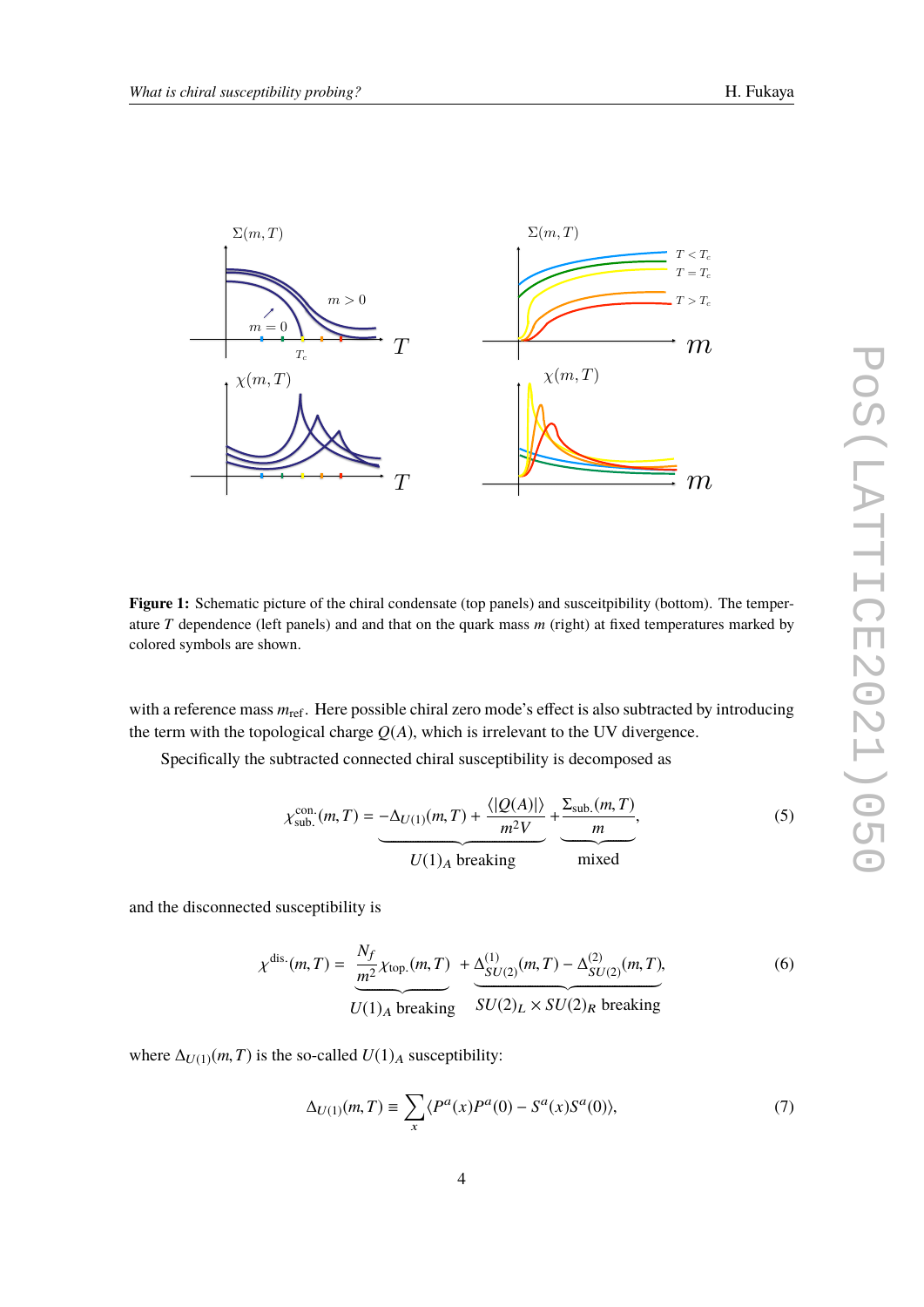<span id="page-3-0"></span>

**Figure 1:** Schematic picture of the chiral condensate (top panels) and susceitpibility (bottom). The temperature *T* dependence (left panels) and and that on the quark mass *m* (right) at fixed temperatures marked by colored symbols are shown.

with a reference mass  $m_{\text{ref}}$ . Here possible chiral zero mode's effect is also subtracted by introducing the term with the topological charge  $Q(A)$ , which is irrelevant to the UV divergence.

Specifically the subtracted connected chiral susceptibility is decomposed as

$$
\chi_{\text{sub.}}^{\text{con.}}(m, T) = -\Delta_{U(1)}(m, T) + \frac{\langle |Q(A)| \rangle}{m^2 V} + \frac{\Sigma_{\text{sub.}}(m, T)}{m},
$$
\n
$$
U(1)_A \text{ breaking} \qquad \text{mixed}
$$
\n(5)

and the disconnected susceptibility is

$$
\chi^{\text{dis.}}(m, T) = \frac{N_f}{m^2} \chi_{\text{top.}}(m, T) + \underbrace{\Delta_{SU(2)}^{(1)}(m, T) - \Delta_{SU(2)}^{(2)}(m, T)}_{U(1)_A \text{ breaking}},
$$
(6)

where  $\Delta_{U(1)}(m, T)$  is the so-called  $U(1)_A$  susceptibility:

$$
\Delta_{U(1)}(m,T) \equiv \sum_{x} \langle P^a(x)P^a(0) - S^a(x)S^a(0) \rangle, \tag{7}
$$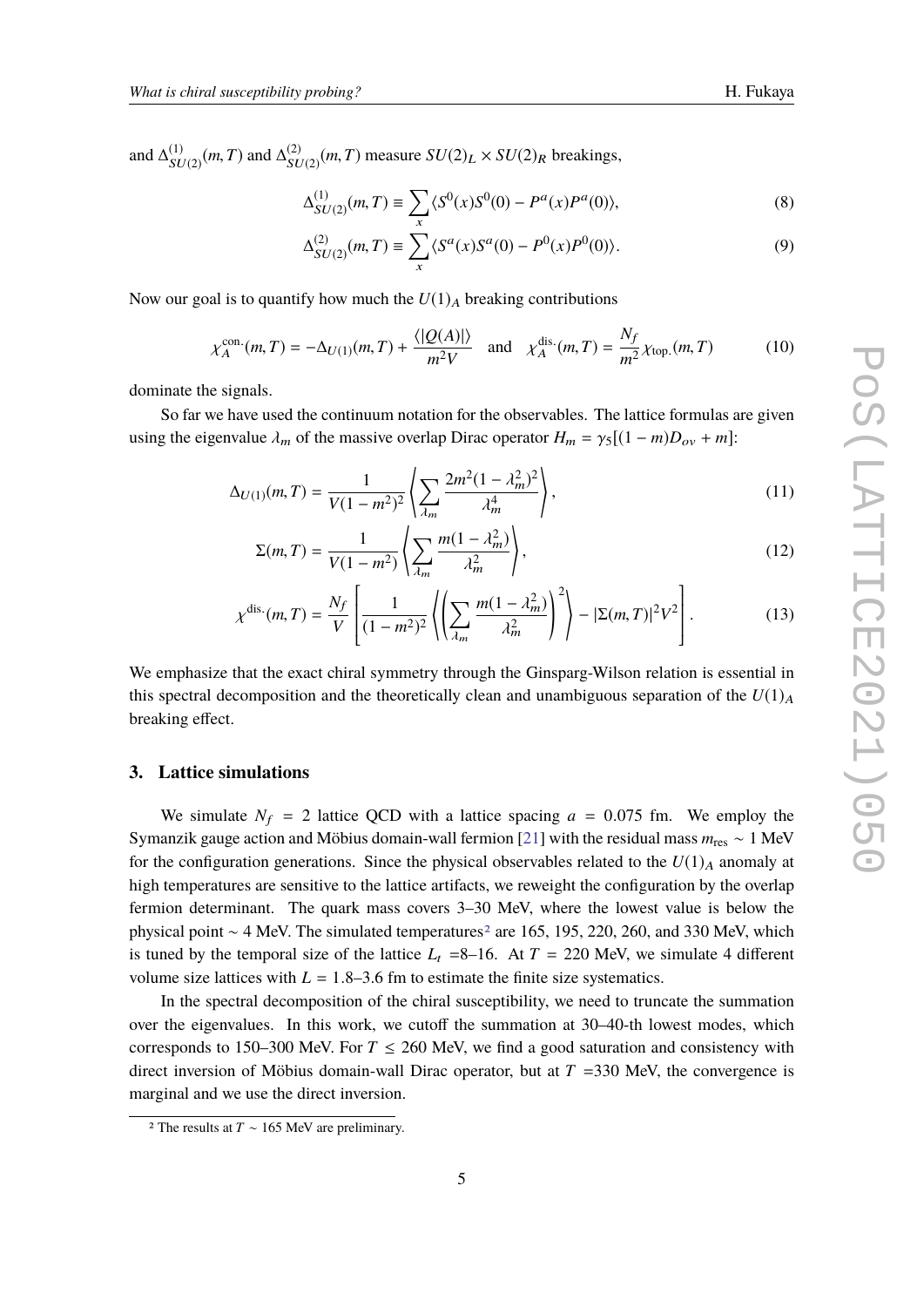and  $\Delta_{\rm\bf\scriptscriptstyle VI}^{(1)}$  $\frac{(1)}{SU(2)}(m, T)$  and  $\Delta_{SL}^{(2)}$  $\frac{S(U)}{SU(2)}(m, T)$  measure  $SU(2)_L \times SU(2)_R$  breakings,

$$
\Delta_{SU(2)}^{(1)}(m,T) \equiv \sum_{x} \langle S^{0}(x)S^{0}(0) - P^{a}(x)P^{a}(0) \rangle, \tag{8}
$$

$$
\Delta_{SU(2)}^{(2)}(m,T) \equiv \sum_{x} \langle S^{a}(x)S^{a}(0) - P^{0}(x)P^{0}(0) \rangle. \tag{9}
$$

Now our goal is to quantify how much the  $U(1)_A$  breaking contributions

$$
\chi_A^{\text{con.}}(m,T) = -\Delta_{U(1)}(m,T) + \frac{\langle |Q(A)| \rangle}{m^2 V} \quad \text{and} \quad \chi_A^{\text{dis.}}(m,T) = \frac{N_f}{m^2} \chi_{\text{top.}}(m,T) \tag{10}
$$

dominate the signals.

So far we have used the continuum notation for the observables. The lattice formulas are given using the eigenvalue  $\lambda_m$  of the massive overlap Dirac operator  $H_m = \gamma_5[(1-m)D_{ov} + m]$ :

$$
\Delta_{U(1)}(m,T) = \frac{1}{V(1-m^2)^2} \left( \sum_{\lambda_m} \frac{2m^2(1-\lambda_m^2)^2}{\lambda_m^4} \right),\tag{11}
$$

$$
\Sigma(m,T) = \frac{1}{V(1-m^2)} \left\{ \sum_{\lambda_m} \frac{m(1-\lambda_m^2)}{\lambda_m^2} \right\},\tag{12}
$$

$$
\chi^{\text{dis.}}(m, T) = \frac{N_f}{V} \left[ \frac{1}{(1 - m^2)^2} \left( \left( \sum_{\lambda_m} \frac{m(1 - \lambda_m^2)}{\lambda_m^2} \right)^2 \right) - |\Sigma(m, T)|^2 V^2 \right].
$$
 (13)

We emphasize that the exact chiral symmetry through the Ginsparg-Wilson relation is essential in this spectral decomposition and the theoretically clean and unambiguous separation of the  $U(1)_A$ breaking effect.

### **3. Lattice simulations**

We simulate  $N_f = 2$  lattice QCD with a lattice spacing  $a = 0.075$  fm. We employ the Symanzik gauge action and Möbius domain-wall fermion [\[21\]](#page-8-1) with the residual mass *m*res ∼ 1 MeV for the configuration generations. Since the physical observables related to the  $U(1)_A$  anomaly at high temperatures are sensitive to the lattice artifacts, we reweight the configuration by the overlap fermion determinant. The quark mass covers 3–30 MeV, where the lowest value is below the physical point ~ 4 MeV. The simulated temperatures<sup>[2](#page-4-0)</sup> are 165, 195, 220, 260, and 330 MeV, which is tuned by the temporal size of the lattice  $L_t$  =8–16. At  $T = 220$  MeV, we simulate 4 different volume size lattices with  $L = 1.8-3.6$  fm to estimate the finite size systematics.

In the spectral decomposition of the chiral susceptibility, we need to truncate the summation over the eigenvalues. In this work, we cutoff the summation at 30–40-th lowest modes, which corresponds to 150–300 MeV. For  $T \le 260$  MeV, we find a good saturation and consistency with direct inversion of Möbius domain-wall Dirac operator, but at  $T = 330$  MeV, the convergence is marginal and we use the direct inversion.

<span id="page-4-0"></span><sup>2</sup> The results at *T* ∼ 165 MeV are preliminary.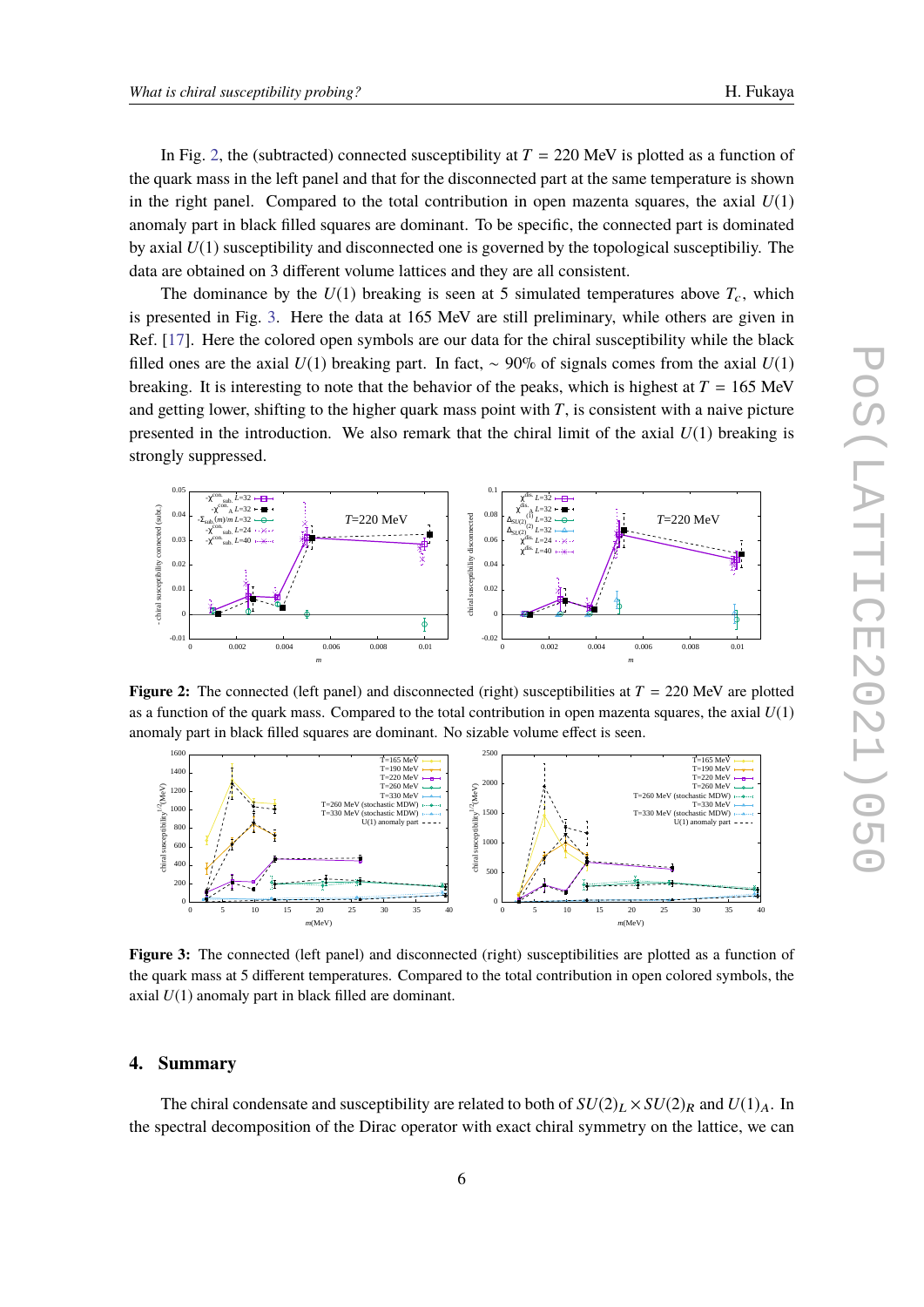In Fig. [2,](#page-5-0) the (subtracted) connected susceptibility at  $T = 220$  MeV is plotted as a function of the quark mass in the left panel and that for the disconnected part at the same temperature is shown in the right panel. Compared to the total contribution in open mazenta squares, the axial  $U(1)$ anomaly part in black filled squares are dominant. To be specific, the connected part is dominated by axial *U*(1) susceptibility and disconnected one is governed by the topological susceptibiliy. The data are obtained on 3 different volume lattices and they are all consistent.

The dominance by the  $U(1)$  breaking is seen at 5 simulated temperatures above  $T_c$ , which is presented in Fig. [3.](#page-5-0) Here the data at 165 MeV are still preliminary, while others are given in Ref. [\[17\]](#page-7-7). Here the colored open symbols are our data for the chiral susceptibility while the black filled ones are the axial *U*(1) breaking part. In fact, ∼ 90% of signals comes from the axial *U*(1) breaking. It is interesting to note that the behavior of the peaks, which is highest at  $T = 165$  MeV and getting lower, shifting to the higher quark mass point with  $T$ , is consistent with a naive picture presented in the introduction. We also remark that the chiral limit of the axial *U*(1) breaking is strongly suppressed.

<span id="page-5-0"></span>

**Figure 2:** The connected (left panel) and disconnected (right) susceptibilities at  $T = 220$  MeV are plotted as a function of the quark mass. Compared to the total contribution in open mazenta squares, the axial *U*(1) anomaly part in black filled squares are dominant. No sizable volume effect is seen.



**Figure 3:** The connected (left panel) and disconnected (right) susceptibilities are plotted as a function of the quark mass at 5 different temperatures. Compared to the total contribution in open colored symbols, the axial *U*(1) anomaly part in black filled are dominant.

#### **4. Summary**

The chiral condensate and susceptibility are related to both of  $SU(2)_L \times SU(2)_R$  and  $U(1)_A$ . In the spectral decomposition of the Dirac operator with exact chiral symmetry on the lattice, we can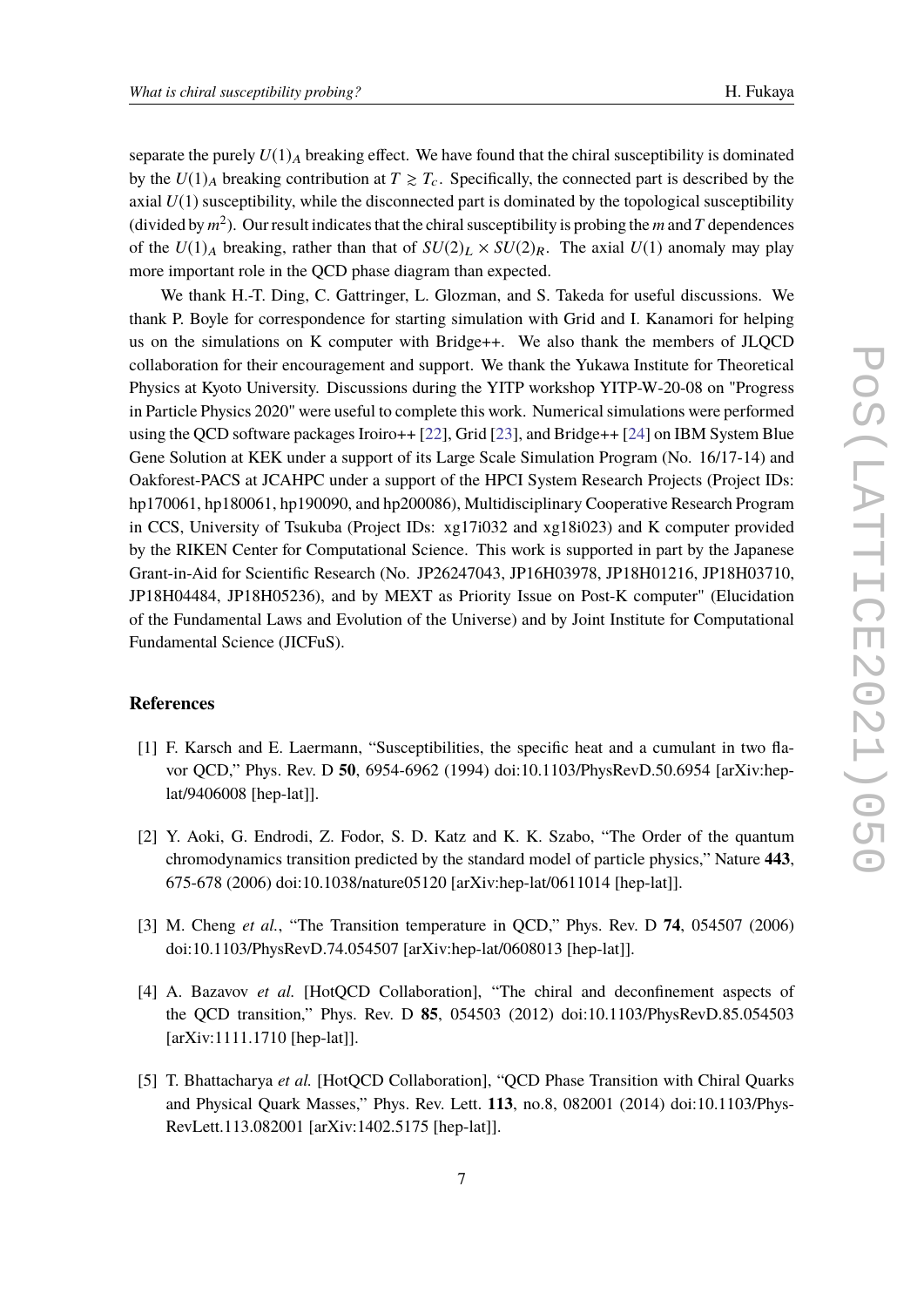separate the purely  $U(1)_A$  breaking effect. We have found that the chiral susceptibility is dominated by the  $U(1)_A$  breaking contribution at  $T \geq T_c$ . Specifically, the connected part is described by the axial  $U(1)$  susceptibility, while the disconnected part is dominated by the topological susceptibility (divided by  $m^2$ ). Our result indicates that the chiral susceptibility is probing the *m* and *T* dependences of the  $U(1)_A$  breaking, rather than that of  $SU(2)_L \times SU(2)_R$ . The axial  $U(1)$  anomaly may play more important role in the QCD phase diagram than expected.

We thank H.-T. Ding, C. Gattringer, L. Glozman, and S. Takeda for useful discussions. We thank P. Boyle for correspondence for starting simulation with Grid and I. Kanamori for helping us on the simulations on K computer with Bridge++. We also thank the members of JLQCD collaboration for their encouragement and support. We thank the Yukawa Institute for Theoretical Physics at Kyoto University. Discussions during the YITP workshop YITP-W-20-08 on "Progress in Particle Physics 2020" were useful to complete this work. Numerical simulations were performed using the QCD software packages Iroiro++ [\[22\]](#page-8-2), Grid [\[23\]](#page-8-3), and Bridge++ [\[24\]](#page-8-4) on IBM System Blue Gene Solution at KEK under a support of its Large Scale Simulation Program (No. 16/17-14) and Oakforest-PACS at JCAHPC under a support of the HPCI System Research Projects (Project IDs: hp170061, hp180061, hp190090, and hp200086), Multidisciplinary Cooperative Research Program in CCS, University of Tsukuba (Project IDs: xg17i032 and xg18i023) and K computer provided by the RIKEN Center for Computational Science. This work is supported in part by the Japanese Grant-in-Aid for Scientific Research (No. JP26247043, JP16H03978, JP18H01216, JP18H03710, JP18H04484, JP18H05236), and by MEXT as Priority Issue on Post-K computer" (Elucidation of the Fundamental Laws and Evolution of the Universe) and by Joint Institute for Computational Fundamental Science (JICFuS).

#### **References**

- <span id="page-6-0"></span>[1] F. Karsch and E. Laermann, "Susceptibilities, the specific heat and a cumulant in two flavor QCD," Phys. Rev. D **50**, 6954-6962 (1994) doi:10.1103/PhysRevD.50.6954 [arXiv:heplat/9406008 [hep-lat]].
- [2] Y. Aoki, G. Endrodi, Z. Fodor, S. D. Katz and K. K. Szabo, "The Order of the quantum chromodynamics transition predicted by the standard model of particle physics," Nature **443**, 675-678 (2006) doi:10.1038/nature05120 [arXiv:hep-lat/0611014 [hep-lat]].
- [3] M. Cheng *et al.*, "The Transition temperature in QCD," Phys. Rev. D **74**, 054507 (2006) doi:10.1103/PhysRevD.74.054507 [arXiv:hep-lat/0608013 [hep-lat]].
- [4] A. Bazavov *et al.* [HotQCD Collaboration], "The chiral and deconfinement aspects of the QCD transition," Phys. Rev. D **85**, 054503 (2012) doi:10.1103/PhysRevD.85.054503 [arXiv:1111.1710 [hep-lat]].
- [5] T. Bhattacharya *et al.* [HotQCD Collaboration], "QCD Phase Transition with Chiral Quarks and Physical Quark Masses," Phys. Rev. Lett. **113**, no.8, 082001 (2014) doi:10.1103/Phys-RevLett.113.082001 [arXiv:1402.5175 [hep-lat]].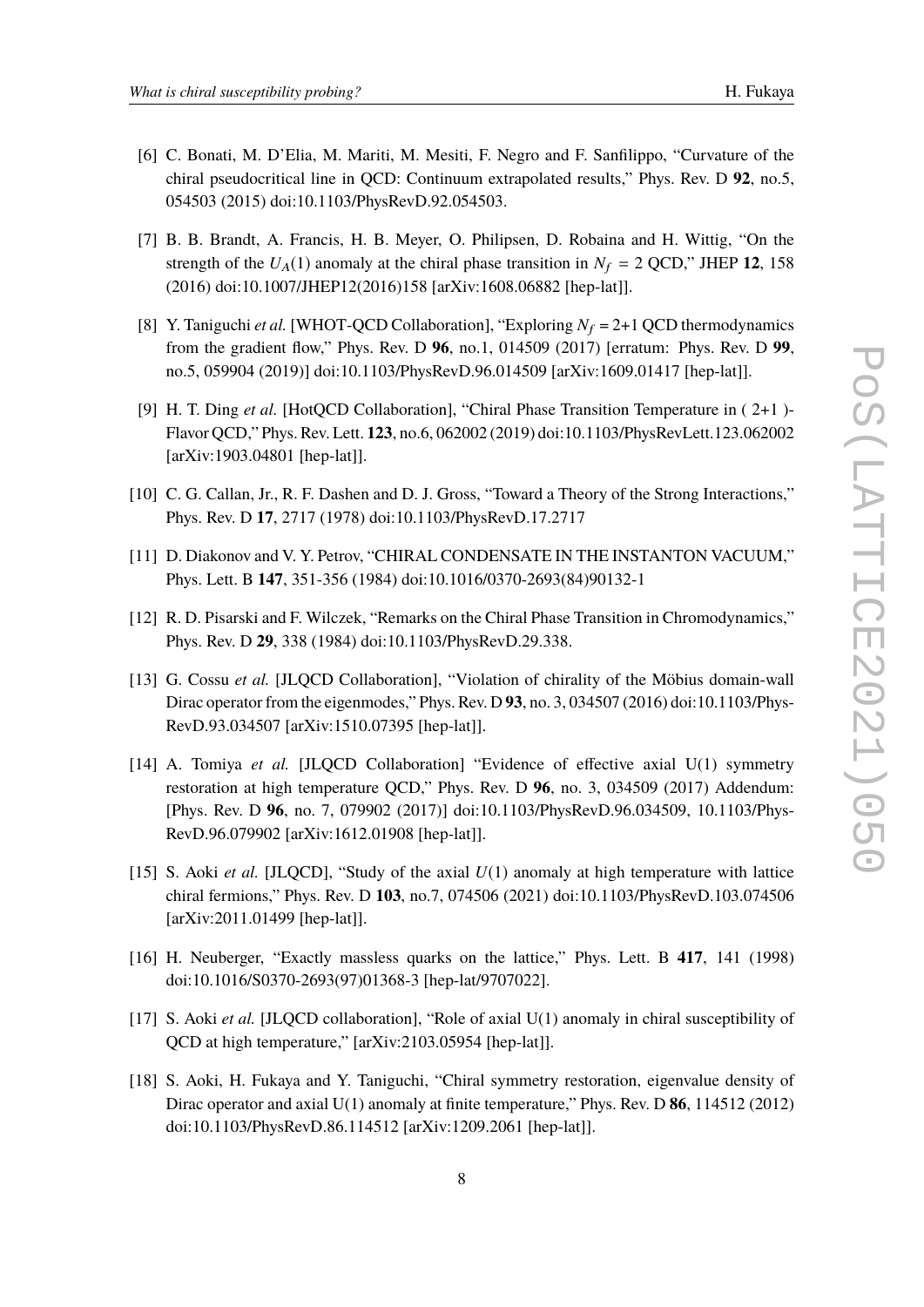- [6] C. Bonati, M. D'Elia, M. Mariti, M. Mesiti, F. Negro and F. Sanfilippo, "Curvature of the chiral pseudocritical line in QCD: Continuum extrapolated results," Phys. Rev. D **92**, no.5, 054503 (2015) doi:10.1103/PhysRevD.92.054503.
- [7] B. B. Brandt, A. Francis, H. B. Meyer, O. Philipsen, D. Robaina and H. Wittig, "On the strength of the  $U_A(1)$  anomaly at the chiral phase transition in  $N_f = 2$  QCD," JHEP 12, 158 (2016) doi:10.1007/JHEP12(2016)158 [arXiv:1608.06882 [hep-lat]].
- [8] Y. Taniguchi *et al.* [WHOT-QCD Collaboration], "Exploring  $N_f = 2+1$  QCD thermodynamics from the gradient flow," Phys. Rev. D **96**, no.1, 014509 (2017) [erratum: Phys. Rev. D **99**, no.5, 059904 (2019)] doi:10.1103/PhysRevD.96.014509 [arXiv:1609.01417 [hep-lat]].
- <span id="page-7-0"></span>[9] H. T. Ding *et al.* [HotQCD Collaboration], "Chiral Phase Transition Temperature in ( 2+1 )- Flavor QCD," Phys. Rev. Lett. **123**, no.6, 062002 (2019) doi:10.1103/PhysRevLett.123.062002 [arXiv:1903.04801 [hep-lat]].
- <span id="page-7-1"></span>[10] C. G. Callan, Jr., R. F. Dashen and D. J. Gross, "Toward a Theory of the Strong Interactions," Phys. Rev. D **17**, 2717 (1978) doi:10.1103/PhysRevD.17.2717
- <span id="page-7-2"></span>[11] D. Diakonov and V. Y. Petrov, "CHIRAL CONDENSATE IN THE INSTANTON VACUUM," Phys. Lett. B **147**, 351-356 (1984) doi:10.1016/0370-2693(84)90132-1
- <span id="page-7-3"></span>[12] R. D. Pisarski and F. Wilczek, "Remarks on the Chiral Phase Transition in Chromodynamics," Phys. Rev. D **29**, 338 (1984) doi:10.1103/PhysRevD.29.338.
- <span id="page-7-4"></span>[13] G. Cossu *et al.* [JLQCD Collaboration], "Violation of chirality of the Möbius domain-wall Dirac operator from the eigenmodes," Phys. Rev. D **93**, no. 3, 034507 (2016) doi:10.1103/Phys-RevD.93.034507 [arXiv:1510.07395 [hep-lat]].
- [14] A. Tomiya *et al.* [JLQCD Collaboration] "Evidence of effective axial U(1) symmetry restoration at high temperature QCD," Phys. Rev. D **96**, no. 3, 034509 (2017) Addendum: [Phys. Rev. D **96**, no. 7, 079902 (2017)] doi:10.1103/PhysRevD.96.034509, 10.1103/Phys-RevD.96.079902 [arXiv:1612.01908 [hep-lat]].
- <span id="page-7-5"></span>[15] S. Aoki *et al.* [JLQCD], "Study of the axial *U*(1) anomaly at high temperature with lattice chiral fermions," Phys. Rev. D **103**, no.7, 074506 (2021) doi:10.1103/PhysRevD.103.074506 [arXiv:2011.01499 [hep-lat]].
- <span id="page-7-6"></span>[16] H. Neuberger, "Exactly massless quarks on the lattice," Phys. Lett. B **417**, 141 (1998) doi:10.1016/S0370-2693(97)01368-3 [hep-lat/9707022].
- <span id="page-7-7"></span>[17] S. Aoki *et al.* [JLQCD collaboration], "Role of axial U(1) anomaly in chiral susceptibility of QCD at high temperature," [arXiv:2103.05954 [hep-lat]].
- <span id="page-7-8"></span>[18] S. Aoki, H. Fukaya and Y. Taniguchi, "Chiral symmetry restoration, eigenvalue density of Dirac operator and axial U(1) anomaly at finite temperature," Phys. Rev. D **86**, 114512 (2012) doi:10.1103/PhysRevD.86.114512 [arXiv:1209.2061 [hep-lat]].